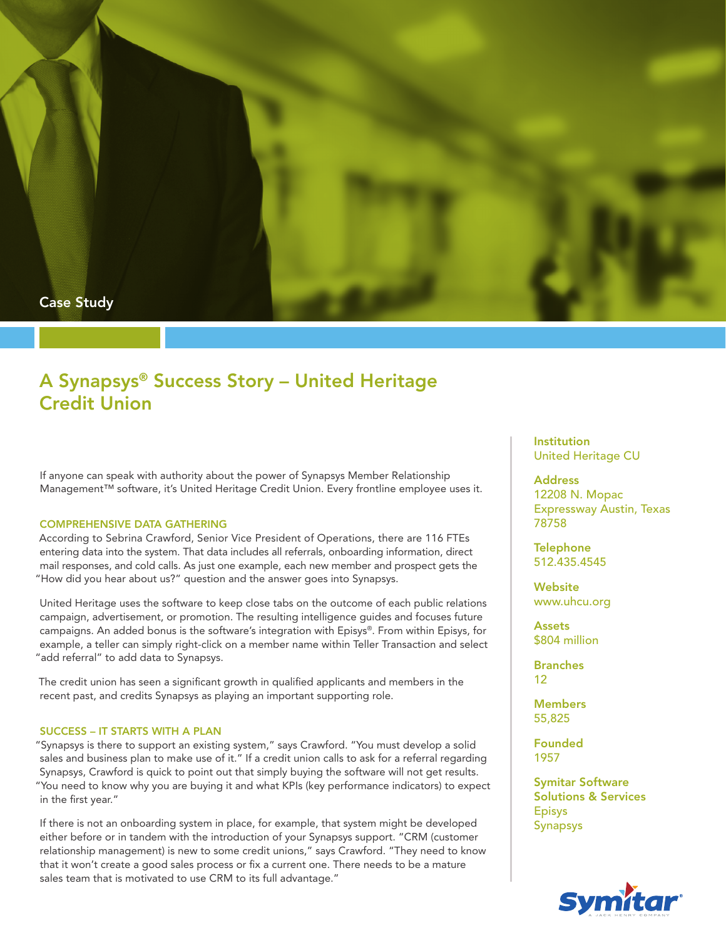

# A Synapsys® Success Story – United Heritage Credit Union

If anyone can speak with authority about the power of Synapsys Member Relationship Management™ software, it's United Heritage Credit Union. Every frontline employee uses it.

#### COMPREHENSIVE DATA GATHERING

According to Sebrina Crawford, Senior Vice President of Operations, there are 116 FTEs entering data into the system. That data includes all referrals, onboarding information, direct mail responses, and cold calls. As just one example, each new member and prospect gets the "How did you hear about us?" question and the answer goes into Synapsys.

United Heritage uses the software to keep close tabs on the outcome of each public relations campaign, advertisement, or promotion. The resulting intelligence guides and focuses future campaigns. An added bonus is the software's integration with Episys®. From within Episys, for example, a teller can simply right-click on a member name within Teller Transaction and select "add referral" to add data to Synapsys.

The credit union has seen a significant growth in qualified applicants and members in the recent past, and credits Synapsys as playing an important supporting role.

## SUCCESS – IT STARTS WITH A PLAN

"Synapsys is there to support an existing system," says Crawford. "You must develop a solid sales and business plan to make use of it." If a credit union calls to ask for a referral regarding Synapsys, Crawford is quick to point out that simply buying the software will not get results. "You need to know why you are buying it and what KPIs (key performance indicators) to expect in the first year."

If there is not an onboarding system in place, for example, that system might be developed either before or in tandem with the introduction of your Synapsys support. "CRM (customer relationship management) is new to some credit unions," says Crawford. "They need to know that it won't create a good sales process or fix a current one. There needs to be a mature sales team that is motivated to use CRM to its full advantage."

**Institution** United Heritage CU

**Address** 12208 N. Mopac Expressway Austin, Texas 78758

**Telephone** 512.435.4545

**Website** www.uhcu.org

Assets \$804 million

Branches 12

**Members** 55,825

Founded 1957

Symitar Software Solutions & Services Episys Synapsys